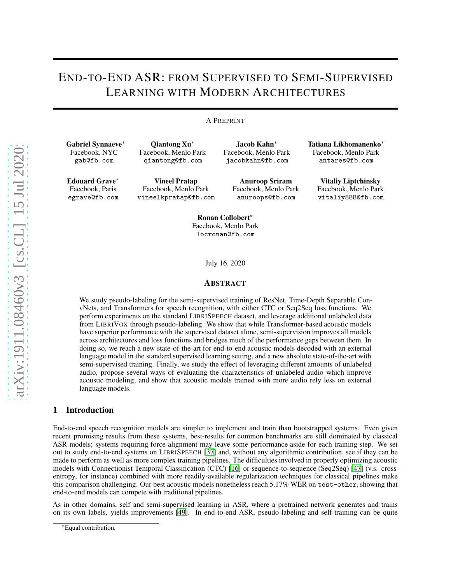# END-TO-END ASR: FROM SUPERVISED TO SEMI-SUPERVISED LEARNING WITH MODERN ARCHITECTURES

#### A PREPRINT

Gabriel Synnaeve<sup>∗</sup> Facebook, NYC gab@fb.com

Edouard Grave<sup>∗</sup> Facebook, Paris egrave@fb.com

Qiantong Xu<sup>∗</sup> Facebook, Menlo Park qiantong@fb.com

Vineel Pratap Facebook, Menlo Park vineelkpratap@fb.com

Jacob Kahn<sup>∗</sup> Facebook, Menlo Park jacobkahn@fb.com

> Anuroop Sriram Facebook, Menlo Park anuroops@fb.com

Tatiana Likhomanenko<sup>∗</sup> Facebook, Menlo Park antares@fb.com

> Vitaliy Liptchinsky Facebook, Menlo Park vitaliy888@fb.com

Ronan Collobert<sup>∗</sup> Facebook, Menlo Park locronan@fb.com

July 16, 2020

### ABSTRACT

We study pseudo-labeling for the semi-supervised training of ResNet, Time-Depth Separable ConvNets, and Transformers for speech recognition, with either CTC or Seq2Seq loss functions. We perform experiments on the standard LIBRISPEECH dataset, and leverage additional unlabeled data from LIBRIVOX through pseudo-labeling. We show that while Transformer-based acoustic models have superior performance with the supervised dataset alone, semi-supervision improves all models across architectures and loss functions and bridges much of the performance gaps between them. In doing so, we reach a new state-of-the-art for end-to-end acoustic models decoded with an external language model in the standard supervised learning setting, and a new absolute state-of-the-art with semi-supervised training. Finally, we study the effect of leveraging different amounts of unlabeled audio, propose several ways of evaluating the characteristics of unlabeled audio which improve acoustic modeling, and show that acoustic models trained with more audio rely less on external language models.

### 1 Introduction

End-to-end speech recognition models are simpler to implement and train than bootstrapped systems. Even given recent promising results from these systems, best-results for common benchmarks are still dominated by classical ASR models; systems requiring force alignment may leave some performance aside for each training step. We set out to study end-to-end systems on LIBRISPEECH [\[37\]](#page-10-0) and, without any algorithmic contribution, see if they can be made to perform as well as more complex training pipelines. The difficulties involved in properly optimizing acoustic models with Connectionist Temporal Classification (CTC) [\[16\]](#page-10-1) or sequence-to-sequence (Seq2Seq) [\[47](#page-11-0)] (v.s. crossentropy, for instance) combined with more readily-available regularization techniques for classical pipelines make this comparison challenging. Our best acoustic models nonetheless reach 5.17% WER on test-other, showing that end-to-end models can compete with traditional pipelines.

As in other domains, self and semi-supervised learning in ASR, where a pretrained network generates and trains on its own labels, yields improvements [\[49\]](#page-11-1). In end-to-end ASR, pseudo-labeling and self-training can be quite

<sup>∗</sup>Equal contribution.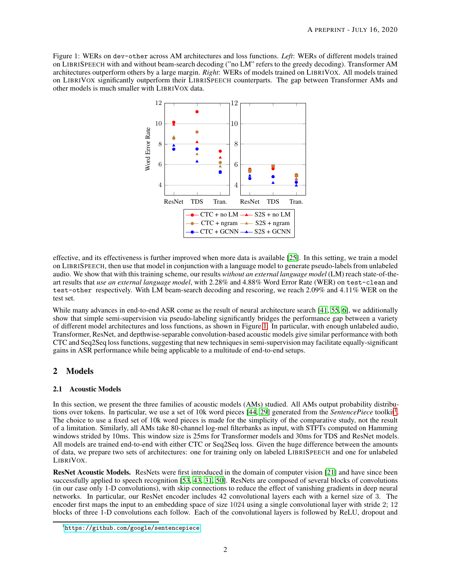<span id="page-1-0"></span>Figure 1: WERs on dev-other across AM architectures and loss functions. *Left*: WERs of different models trained on LIBRISPEECH with and without beam-search decoding ("no LM" refers to the greedy decoding). Transformer AM architectures outperform others by a large margin. *Right*: WERs of models trained on LIBRIVOX. All models trained on LIBRIVOX significantly outperform their LIBRISPEECH counterparts. The gap between Transformer AMs and other models is much smaller with LIBRIVOX data.



effective, and its effectiveness is further improved when more data is available [\[25\]](#page-10-2). In this setting, we train a model on LIBRISPEECH, then use that model in conjunction with a language model to generate pseudo-labels from unlabeled audio. We show that with this training scheme, our results *without an external language model* (LM) reach state-of-theart results that *use an external language model*, with 2.28% and 4.88% Word Error Rate (WER) on test-clean and test-other respectively. With LM beam-search decoding and rescoring, we reach 2.09% and 4.11% WER on the test set.

While many advances in end-to-end ASR come as the result of neural architecture search [\[41,](#page-11-2) [55,](#page-11-3) [6\]](#page-9-0), we additionally show that simple semi-supervision via pseudo-labeling significantly bridges the performance gap between a variety of different model architectures and loss functions, as shown in Figure [1.](#page-1-0) In particular, with enough unlabeled audio, Transformer, ResNet, and depthwise-separable convolution-based acoustic models give similar performance with both CTC and Seq2Seq loss functions, suggesting that new techniques in semi-supervision may facilitate equally-significant gains in ASR performance while being applicable to a multitude of end-to-end setups.

# <span id="page-1-2"></span>2 Models

# 2.1 Acoustic Models

In this section, we present the three families of acoustic models (AMs) studied. All AMs output probability distribu-tions over tokens. In particular, we use a set of 10k word pieces [\[44,](#page-11-4) [29](#page-10-3)] generated from the *SentencePiece* toolkit<sup>[1](#page-1-1)</sup>. The choice to use a fixed set of 10k word pieces is made for the simplicity of the comparative study, not the result of a limitation. Similarly, all AMs take 80-channel log-mel filterbanks as input, with STFTs computed on Hamming windows strided by 10ms. This window size is 25ms for Transformer models and 30ms for TDS and ResNet models. All models are trained end-to-end with either CTC or Seq2Seq loss. Given the huge difference between the amounts of data, we prepare two sets of architectures: one for training only on labeled LIBRISPEECH and one for unlabeled LIBRIVOX.

ResNet Acoustic Models. ResNets were first introduced in the domain of computer vision [\[21](#page-10-4)] and have since been successfully applied to speech recognition [\[53,](#page-11-5) [43,](#page-11-6) [31](#page-10-5), [50](#page-11-7)]. ResNets are composed of several blocks of convolutions (in our case only 1-D convolutions), with skip connections to reduce the effect of vanishing gradients in deep neural networks. In particular, our ResNet encoder includes 42 convolutional layers each with a kernel size of 3. The encoder first maps the input to an embedding space of size 1024 using a single convolutional layer with stride 2; 12 blocks of three 1-D convolutions each follow. Each of the convolutional layers is followed by ReLU, dropout and

<span id="page-1-1"></span><sup>1</sup> <https://github.com/google/sentencepiece>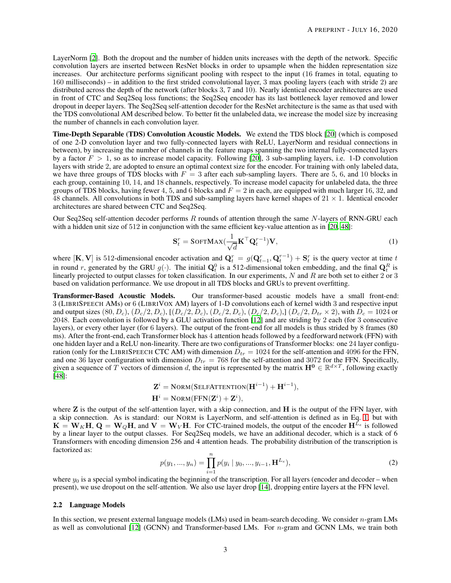LayerNorm [\[2\]](#page-9-1). Both the dropout and the number of hidden units increases with the depth of the network. Specific convolution layers are inserted between ResNet blocks in order to upsample when the hidden representation size increases. Our architecture performs significant pooling with respect to the input (16 frames in total, equating to 160 milliseconds) – in addition to the first strided convolutional layer, 3 max pooling layers (each with stride 2) are distributed across the depth of the network (after blocks 3, 7 and 10). Nearly identical encoder architectures are used in front of CTC and Seq2Seq loss functions; the Seq2Seq encoder has its last bottleneck layer removed and lower dropout in deeper layers. The Seq2Seq self-attention decoder for the ResNet architecture is the same as that used with the TDS convolutional AM described below. To better fit the unlabeled data, we increase the model size by increasing the number of channels in each convolution layer.

Time-Depth Separable (TDS) Convolution Acoustic Models. We extend the TDS block [\[20\]](#page-10-6) (which is composed of one 2-D convolution layer and two fully-connected layers with ReLU, LayerNorm and residual connections in between), by increasing the number of channels in the feature maps spanning the two internal fully-connected layers by a factor  $F > 1$ , so as to increase model capacity. Following [\[20\]](#page-10-6), 3 sub-sampling layers, i.e. 1-D convolution layers with stride 2, are adopted to ensure an optimal context size for the encoder. For training with only labeled data, we have three groups of TDS blocks with  $F = 3$  after each sub-sampling layers. There are 5, 6, and 10 blocks in each group, containing 10, 14, and 18 channels, respectively. To increase model capacity for unlabeled data, the three groups of TDS blocks, having fewer 4, 5, and 6 blocks and  $F = 2$  in each, are equipped with much larger 16, 32, and 48 channels. All convolutions in both TDS and sub-sampling layers have kernel shapes of  $21 \times 1$ . Identical encoder architectures are shared between CTC and Seq2Seq.

Our Seq2Seq self-attention decoder performs  $R$  rounds of attention through the same  $N$ -layers of RNN-GRU each with a hidden unit size of 512 in conjunction with the same efficient key-value attention as in [\[20](#page-10-6), [48\]](#page-11-8):

<span id="page-2-0"></span>
$$
\mathbf{S}_t^r = \text{SoftMAX}(\frac{1}{\sqrt{d}} \mathbf{K}^\top \mathbf{Q}_t^{r-1}) \mathbf{V},\tag{1}
$$

where [K, V] is 512-dimensional encoder activation and  $Q_t^r = g(Q_{t-1}^r, Q_t^{r-1}) + S_t^r$  is the query vector at time t in round r, generated by the GRU  $g(\cdot)$ . The initial  $\mathbf{Q}_t^0$  is a 512-dimensional token embedding, and the final  $\mathbf{Q}_t^R$  is linearly projected to output classes for token classification. In our experiments,  $N$  and  $R$  are both set to either 2 or 3 based on validation performance. We use dropout in all TDS blocks and GRUs to prevent overfitting.

Transformer-Based Acoustic Models. Our transformer-based acoustic models have a small front-end: 3 (LIBRISPEECH AMs) or 6 (LIBRIVOX AM) layers of 1-D convolutions each of kernel width 3 and respective input and output sizes  $(80, D_c)$ ,  $(D_c/2, D_c)$ ,  $[(D_c/2, D_c), (D_c/2, D_c), (D_c/2, D_c)]$ ,  $(D_c/2, D_{tr} \times 2)$ , with  $D_c = 1024$  or 2048. Each convolution is followed by a GLU activation function [\[12\]](#page-9-2) and are striding by 2 each (for 3 consecutive layers), or every other layer (for 6 layers). The output of the front-end for all models is thus strided by 8 frames (80 ms). After the front-end, each Transformer block has 4 attention heads followed by a feedforward network (FFN) with one hidden layer and a ReLU non-linearity. There are two configurations of Transformer blocks: one 24 layer configuration (only for the LIBRISPEECH CTC AM) with dimension  $D_{tr} = 1024$  for the self-attention and 4096 for the FFN, and one 36 layer configuration with dimension  $D_{tr} = 768$  for the self-attention and 3072 for the FFN. Specifically, given a sequence of T vectors of dimension d, the input is represented by the matrix  $\mathbf{H}^0 \in \mathbb{R}^{d \times T}$ , following exactly [\[48](#page-11-8)]:

$$
\mathbf{Z}^{i} = \text{Norm}(\text{Selef}(\mathbf{H}^{i-1}) + \mathbf{H}^{i-1}),
$$

$$
\mathbf{H}^{i} = \text{Norm}(\text{FFN}(\mathbf{Z}^{i}) + \mathbf{Z}^{i}),
$$

where  $Z$  is the output of the self-attention layer, with a skip connection, and  $H$  is the output of the FFN layer, with a skip connection. As is standard: our NORM is LayerNorm, and self-attention is defined as in Eq. [1,](#page-2-0) but with  $\mathbf{K} = \mathbf{W}_K \mathbf{H}, \mathbf{Q} = \mathbf{W}_Q \mathbf{H}$ , and  $\mathbf{V} = \mathbf{W}_V \mathbf{H}$ . For CTC-trained models, the output of the encoder  $\mathbf{H}^{L_e}$  is followed by a linear layer to the output classes. For Seq2Seq models, we have an additional decoder, which is a stack of 6 Transformers with encoding dimension 256 and 4 attention heads. The probability distribution of the transcription is factorized as:

$$
p(y_1, ..., y_n) = \prod_{i=1}^n p(y_i \mid y_0, ..., y_{i-1}, \mathbf{H}^{L_e}),
$$
\n(2)

where  $y_0$  is a special symbol indicating the beginning of the transcription. For all layers (encoder and decoder – when present), we use dropout on the self-attention. We also use layer drop [\[14\]](#page-9-3), dropping entire layers at the FFN level.

#### <span id="page-2-1"></span>2.2 Language Models

In this section, we present external language models (LMs) used in beam-search decoding. We consider n-gram LMs as well as convolutional  $[12]$  (GCNN) and Transformer-based LMs. For *n*-gram and GCNN LMs, we train both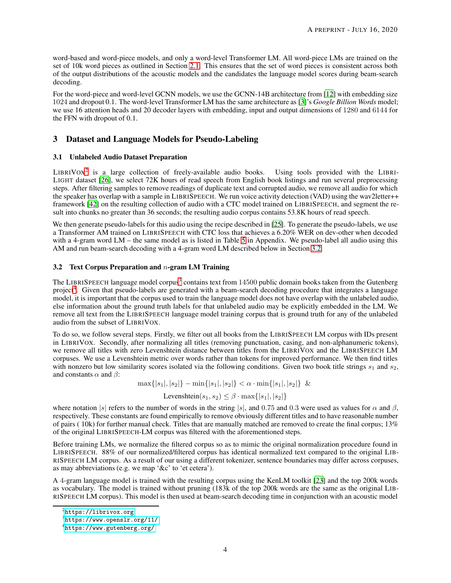word-based and word-piece models, and only a word-level Transformer LM. All word-piece LMs are trained on the set of 10k word pieces as outlined in Section [2.1.](#page-1-2) This ensures that the set of word pieces is consistent across both of the output distributions of the acoustic models and the candidates the language model scores during beam-search decoding.

For the word-piece and word-level GCNN models, we use the GCNN-14B architecture from [\[12\]](#page-9-2) with embedding size 1024 and dropout 0.1. The word-level Transformer LM has the same architecture as [\[3](#page-9-4)]'s *Google Billion Words* model; we use 16 attention heads and 20 decoder layers with embedding, input and output dimensions of 1280 and 6144 for the FFN with dropout of 0.1.

# <span id="page-3-5"></span><span id="page-3-4"></span>3 Dataset and Language Models for Pseudo-Labeling

### 3.1 Unlabeled Audio Dataset Preparation

LIBRIVOX<sup>[2](#page-3-0)</sup> is a large collection of freely-available audio books. Using tools provided with the LIBRI-LIGHT dataset [\[26](#page-10-7)], we select 72K hours of read speech from English book listings and run several preprocessing steps. After filtering samples to remove readings of duplicate text and corrupted audio, we remove all audio for which the speaker has overlap with a sample in LIBRISPEECH. We run voice activity detection (VAD) using the wav2letter++ framework [\[42](#page-11-9)] on the resulting collection of audio with a CTC model trained on LIBRISPEECH, and segment the result into chunks no greater than 36 seconds; the resulting audio corpus contains 53.8K hours of read speech.

We then generate pseudo-labels for this audio using the recipe described in [\[25\]](#page-10-2). To generate the pseudo-labels, we use a Transformer AM trained on LIBRISPEECH with CTC loss that achieves a 6.20% WER on dev-other when decoded with a 4-gram word LM – the same model as is listed in Table [5](#page-12-0) in Appendix. We pseudo-label all audio using this AM and run beam-search decoding with a 4-gram word LM described below in Section [3.2.](#page-3-1)

# <span id="page-3-1"></span>3.2 Text Corpus Preparation and  $n$ -gram LM Training

The LIBRISPEECH language model corpus<sup>[3](#page-3-2)</sup> contains text from  $14500$  public domain books taken from the Gutenberg project<sup>[4](#page-3-3)</sup>. Given that pseudo-labels are generated with a beam-search decoding procedure that integrates a language model, it is important that the corpus used to train the language model does not have overlap with the unlabeled audio, else information about the ground truth labels for that unlabeled audio may be explicitly embedded in the LM. We remove all text from the LIBRISPEECH language model training corpus that is ground truth for any of the unlabeled audio from the subset of LIBRIVOX.

To do so, we follow several steps. Firstly, we filter out all books from the LIBRISPEECH LM corpus with IDs present in LIBRIVOX. Secondly, after normalizing all titles (removing punctuation, casing, and non-alphanumeric tokens), we remove all titles with zero Levenshtein distance between titles from the LIBRIVOX and the LIBRISPEECH LM corpuses. We use a Levenshtein metric over words rather than tokens for improved performance. We then find titles with nonzero but low similarity scores isolated via the following conditions. Given two book title strings  $s_1$  and  $s_2$ , and constants  $\alpha$  and  $\beta$ :

$$
\max\{|s_1|, |s_2|\} - \min\{|s_1|, |s_2|\} < \alpha \cdot \min\{|s_1|, |s_2|\} \&
$$

$$
\text{Levenshtein}(s_1, s_2) \le \beta \cdot \max\{|s_1|, |s_2|\}
$$

where notation |s| refers to the number of words in the string |s|, and 0.75 and 0.3 were used as values for  $\alpha$  and  $\beta$ , respectively. These constants are found empirically to remove obviously different titles and to have reasonable number of pairs ( $10k$ ) for further manual check. Titles that are manually matched are removed to create the final corpus;  $13\%$ of the original LIBRISPEECH-LM corpus was filtered with the aforementioned steps.

Before training LMs, we normalize the filtered corpus so as to mimic the original normalization procedure found in LIBRISPEECH. 88% of our normalized/filtered corpus has identical normalized text compared to the original LIB-RISPEECH LM corpus. As a result of our using a different tokenizer, sentence boundaries may differ across corpuses, as may abbreviations (e.g. we map '&c' to 'et cetera').

A 4-gram language model is trained with the resulting corpus using the KenLM toolkit [\[23\]](#page-10-8) and the top 200k words as vocabulary. The model is trained without pruning (183k of the top 200k words are the same as the original LIB-RISPEECH LM corpus). This model is then used at beam-search decoding time in conjunction with an acoustic model

 $^{2}$ <https://librivox.org>

<span id="page-3-0"></span> $^3$ <https://www.openslr.org/11/>

<span id="page-3-3"></span><span id="page-3-2"></span><sup>4</sup> <https://www.gutenberg.org/>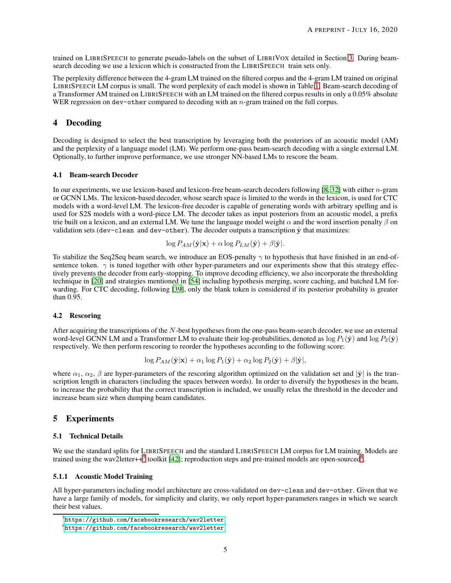trained on LIBRISPEECH to generate pseudo-labels on the subset of LIBRIVOX detailed in Section [3.](#page-3-4) During beamsearch decoding we use a lexicon which is constructed from the LIBRISPEECH train sets only.

The perplexity difference between the 4-gram LM trained on the filtered corpus and the 4-gram LM trained on original LIBRISPEECH LM corpus is small. The word perplexity of each model is shown in Table [1.](#page-5-0) Beam-search decoding of a Transformer AM trained on LIBRISPEECH with an LM trained on the filtered corpus results in only a 0.05% absolute WER regression on dev-other compared to decoding with an n-gram trained on the full corpus.

# 4 Decoding

Decoding is designed to select the best transcription by leveraging both the posteriors of an acoustic model (AM) and the perplexity of a language model (LM). We perform one-pass beam-search decoding with a single external LM. Optionally, to further improve performance, we use stronger NN-based LMs to rescore the beam.

#### 4.1 Beam-search Decoder

In our experiments, we use lexicon-based and lexicon-free beam-search decoders following  $[8, 32]$  $[8, 32]$  with either *n*-gram or GCNN LMs. The lexicon-based decoder, whose search space is limited to the words in the lexicon, is used for CTC models with a word-level LM. The lexicon-free decoder is capable of generating words with arbitrary spelling and is used for S2S models with a word-piece LM. The decoder takes as input posteriors from an acoustic model, a prefix trie built on a lexicon, and an external LM. We tune the language model weight  $\alpha$  and the word insertion penalty  $\beta$  on validation sets (dev-clean and dev-other). The decoder outputs a transcription  $\hat{y}$  that maximizes:

$$
\log P_{AM}(\hat{\mathbf{y}}|\mathbf{x}) + \alpha \log P_{LM}(\hat{\mathbf{y}}) + \beta |\hat{\mathbf{y}}|.
$$

To stabilize the Seq2Seq beam search, we introduce an EOS-penalty  $\gamma$  to hypothesis that have finished in an end-ofsentence token.  $\gamma$  is tuned together with other hyper-parameters and our experiments show that this strategy effectively prevents the decoder from early-stopping. To improve decoding efficiency, we also incorporate the thresholding technique in [\[20](#page-10-6)] and strategies mentioned in [\[54\]](#page-11-10) including hypothesis merging, score caching, and batched LM forwarding. For CTC decoding, following [\[39\]](#page-11-11), only the blank token is considered if its posterior probability is greater than 0.95.

### <span id="page-4-3"></span>4.2 Rescoring

After acquiring the transcriptions of the  $N$ -best hypotheses from the one-pass beam-search decoder, we use an external word-level GCNN LM and a Transformer LM to evaluate their log-probabilities, denoted as  $\log P_1(\hat{y})$  and  $\log P_2(\hat{y})$ respectively. We then perform rescoring to reorder the hypotheses according to the following score:

$$
\log P_{AM}(\hat{\mathbf{y}}|\mathbf{x}) + \alpha_1 \log P_1(\hat{\mathbf{y}}) + \alpha_2 \log P_2(\hat{\mathbf{y}}) + \beta |\hat{\mathbf{y}}|,
$$

where  $\alpha_1, \alpha_2, \beta$  are hyper-parameters of the rescoring algorithm optimized on the validation set and  $|\hat{\mathbf{y}}|$  is the transcription length in characters (including the spaces between words). In order to diversify the hypotheses in the beam, to increase the probability that the correct transcription is included, we usually relax the threshold in the decoder and increase beam size when dumping beam candidates.

### <span id="page-4-2"></span>5 Experiments

#### 5.1 Technical Details

We use the standard splits for LIBRISPEECH and the standard LIBRISPEECH LM corpus for LM training. Models are trained using the wav2letter++<sup>[5](#page-4-0)</sup> toolkit [\[42](#page-11-9)]; reproduction steps and pre-trained models are open-sourced<sup>[6](#page-4-1)</sup>.

### 5.1.1 Acoustic Model Training

All hyper-parameters including model architecture are cross-validated on dev-clean and dev-other. Given that we have a large family of models, for simplicity and clarity, we only report hyper-parameters ranges in which we search their best values.

 $^5$ https://github.com/facebookresearch/wav $21$ etter

<span id="page-4-1"></span><span id="page-4-0"></span> $^6$ https://github.com/facebookresearch/wav $21$ etter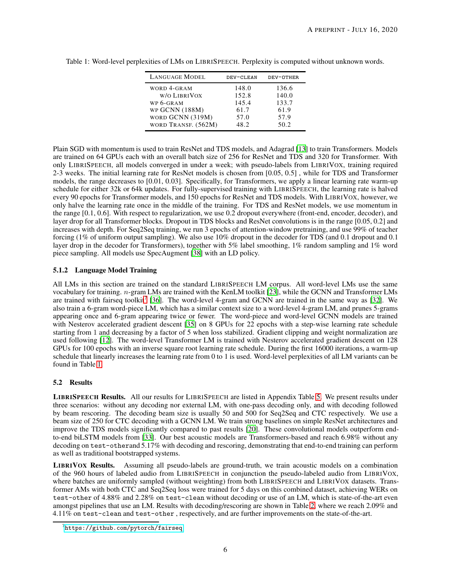| <b>LANGUAGE MODEL</b>              | DEV-CLEAN      | DEV-OTHER      |
|------------------------------------|----------------|----------------|
| WORD 4-GRAM<br>W/O LIBRIVOX        | 148.0<br>152.8 | 136.6<br>140.0 |
| WP 6-GRAM                          | 145.4          | 133.7          |
| WP GCNN (188M)<br>WORD GCNN (319M) | 61.7<br>57.0   | 61.9<br>57.9   |
| WORD TRANSF. (562M)                | 48.2           | 50.2           |

<span id="page-5-0"></span>Table 1: Word-level perplexities of LMs on LIBRISPEECH. Perplexity is computed without unknown words.

Plain SGD with momentum is used to train ResNet and TDS models, and Adagrad [\[13\]](#page-9-6) to train Transformers. Models are trained on 64 GPUs each with an overall batch size of 256 for ResNet and TDS and 320 for Transformer. With only LIBRISPEECH, all models converged in under a week; with pseudo-labels from LIBRIVOX, training required 2-3 weeks. The initial learning rate for ResNet models is chosen from [0.05, 0.5] , while for TDS and Transformer models, the range decreases to [0.01, 0.03]. Specifically, for Transformers, we apply a linear learning rate warm-up schedule for either 32k or 64k updates. For fully-supervised training with LIBRISPEECH, the learning rate is halved every 90 epochs for Transformer models, and 150 epochs for ResNet and TDS models. With LIBRIVOX, however, we only halve the learning rate once in the middle of the training. For TDS and ResNet models, we use momentum in the range [0.1, 0.6]. With respect to regularization, we use 0.2 dropout everywhere (front-end, encoder, decoder), and layer drop for all Transformer blocks. Dropout in TDS blocks and ResNet convolutions is in the range [0.05, 0.2] and increases with depth. For Seq2Seq training, we run 3 epochs of attention-window pretraining, and use 99% of teacher forcing (1% of uniform output sampling). We also use 10% dropout in the decoder for TDS (and 0.1 dropout and 0.1 layer drop in the decoder for Transformers), together with 5% label smoothing, 1% random sampling and 1% word piece sampling. All models use SpecAugment [\[38](#page-11-12)] with an LD policy.

# 5.1.2 Language Model Training

All LMs in this section are trained on the standard LIBRISPEECH LM corpus. All word-level LMs use the same vocabulary for training. n-gram LMs are trained with the KenLM toolkit [\[23](#page-10-8)], while the GCNN and Transformer LMs are trained with fairseq toolkit<sup>[7](#page-5-1)</sup> [\[36\]](#page-10-10). The word-level 4-gram and GCNN are trained in the same way as [\[32\]](#page-10-9). We also train a 6-gram word-piece LM, which has a similar context size to a word-level 4-gram LM, and prunes 5-grams appearing once and 6-gram appearing twice or fewer. The word-piece and word-level GCNN models are trained with Nesterov accelerated gradient descent [\[35\]](#page-10-11) on 8 GPUs for 22 epochs with a step-wise learning rate schedule starting from 1 and decreasing by a factor of 5 when loss stabilized. Gradient clipping and weight normalization are used following [\[12\]](#page-9-2). The word-level Transformer LM is trained with Nesterov accelerated gradient descent on 128 GPUs for 100 epochs with an inverse square root learning rate schedule. During the first 16000 iterations, a warm-up schedule that linearly increases the learning rate from 0 to 1 is used. Word-level perplexities of all LM variants can be found in Table [1.](#page-5-0)

# 5.2 Results

LIBRISPEECH Results. All our results for LIBRISPEECH are listed in Appendix Table [5.](#page-12-0) We present results under three scenarios: without any decoding nor external LM, with one-pass decoding only, and with decoding followed by beam rescoring. The decoding beam size is usually 50 and 500 for Seq2Seq and CTC respectively. We use a beam size of 250 for CTC decoding with a GCNN LM. We train strong baselines on simple ResNet architectures and improve the TDS models significantly compared to past results [\[20](#page-10-6)]. These convolutional models outperform endto-end biLSTM models from [\[33](#page-10-12)]. Our best acoustic models are Transformers-based and reach 6.98% without any decoding on test-otherand 5.17% with decoding and rescoring, demonstrating that end-to-end training can perform as well as traditional bootstrapped systems.

LIBRIVOX Results. Assuming all pseudo-labels are ground-truth, we train acoustic models on a combination of the 960 hours of labeled audio from LIBRISPEECH in conjunction the pseudo-labeled audio from LIBRIVOX, where batches are uniformly sampled (without weighting) from both LIBRISPEECH and LIBRIVOX datasets. Transformer AMs with both CTC and Seq2Seq loss were trained for 5 days on this combined dataset, achieving WERs on test-other of 4.88% and 2.28% on test-clean without decoding or use of an LM, which is state-of-the-art even amongst pipelines that use an LM. Results with decoding/rescoring are shown in Table [2,](#page-6-0) where we reach 2.09% and 4.11% on test-clean and test-other , respectively, and are further improvements on the state-of-the-art.

<span id="page-5-1"></span> $^{7}$ <https://github.com/pytorch/fairseq>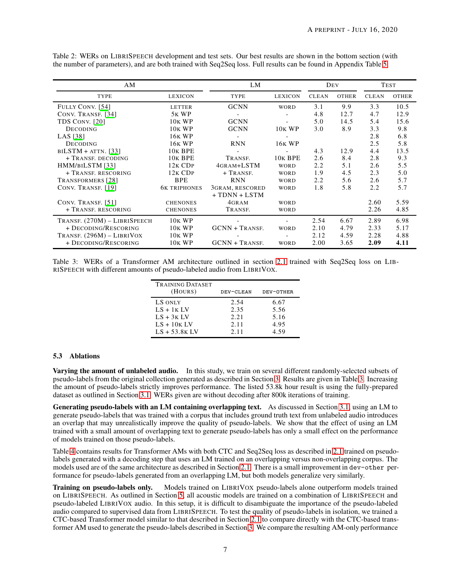| AΜ                           | LM                  |                       |                     | DEV          |              | <b>TEST</b>  |              |
|------------------------------|---------------------|-----------------------|---------------------|--------------|--------------|--------------|--------------|
| TYPE                         | <b>LEXICON</b>      | TYPE                  | <b>LEXICON</b>      | <b>CLEAN</b> | <b>OTHER</b> | <b>CLEAN</b> | <b>OTHER</b> |
| FULLY CONV. [54]             | <b>LETTER</b>       | <b>GCNN</b>           | <b>WORD</b>         | 3.1          | 9.9          | 3.3          | 10.5         |
| CONV. TRANSF. [34]           | 5 <sub>K</sub> WP   |                       |                     | 4.8          | 12.7         | 4.7          | 12.9         |
| TDS CONV. [20]               | 10 <sub>K</sub> WP  | <b>GCNN</b>           |                     | 5.0          | 14.5         | 5.4          | 15.6         |
| <b>DECODING</b>              | <b>10K WP</b>       | <b>GCNN</b>           | 10K WP              | 3.0          | 8.9          | 3.3          | 9.8          |
| LAS [38]                     | <b>16K WP</b>       |                       |                     |              |              | 2.8          | 6.8          |
| <b>DECODING</b>              | <b>16K WP</b>       | <b>RNN</b>            | 16 <sub>K</sub> WP  |              |              | 2.5          | 5.8          |
| $BILSTM + ATTN.$ [33]        | 10 <sub>K</sub> BPE |                       |                     | 4.3          | 12.9         | 4.4          | 13.5         |
| + TRANSF, DECODING           | 10 <sub>K</sub> BPE | TRANSF.               | 10 <sub>K</sub> BPE | 2.6          | 8.4          | 2.8          | 9.3          |
| HMM/BILSTM [33]              | $12K$ CDP           | 4GRAM+LSTM            | <b>WORD</b>         | 2.2          | 5.1          | 2.6          | 5.5          |
| + TRANSF. RESCORING          | $12K$ CDP           | $+$ TRANSF.           | <b>WORD</b>         | 1.9          | 4.5          | 2.3          | 5.0          |
| TRANSFORMERS [28]            | <b>BPE</b>          | <b>RNN</b>            | <b>WORD</b>         | 2.2          | 5.6          | 2.6          | 5.7          |
| CONV. TRANSF. [19]           | <b>6K TRIPHONES</b> | 3GRAM, RESCORED       | WORD                | 1.8          | 5.8          | 2.2          | 5.7          |
|                              |                     | $+ T DNN + LSTM$      |                     |              |              |              |              |
| CONV. TRANSF. [51]           | <b>CHENONES</b>     | 4GRAM                 | <b>WORD</b>         |              |              | 2.60         | 5.59         |
| + TRANSE, RESCORING          | <b>CHENONES</b>     | TRANSF.               | <b>WORD</b>         |              |              | 2.26         | 4.85         |
| TRANSF. (270M) - LIBRISPEECH | <b>10K WP</b>       |                       |                     | 2.54         | 6.67         | 2.89         | 6.98         |
| + DECODING/RESCORING         | <b>10K WP</b>       | <b>GCNN + TRANSF.</b> | <b>WORD</b>         | 2.10         | 4.79         | 2.33         | 5.17         |
| TRANSF. $(296M)$ – LIBRIVOX  | <b>10K WP</b>       |                       |                     | 2.12         | 4.59         | 2.28         | 4.88         |
| + DECODING/RESCORING         | 10 <sub>K</sub> WP  | <b>GCNN + TRANSF.</b> | WORD                | 2.00         | 3.65         | 2.09         | 4.11         |

<span id="page-6-0"></span>Table 2: WERs on LIBRISPEECH development and test sets. Our best results are shown in the bottom section (with the number of parameters), and are both trained with Seq2Seq loss. Full results can be found in Appendix Table [5.](#page-12-0)

<span id="page-6-1"></span>Table 3: WERs of a Transformer AM architecture outlined in section [2.1](#page-2-0) trained with Seq2Seq loss on LIB-RISPEECH with different amounts of pseudo-labeled audio from LIBRIVOX.

| <b>TRAINING DATASET</b><br>(HOURS) | DEV-CLEAN    | DEV-OTHER    |
|------------------------------------|--------------|--------------|
| LS ONLY                            | 2.54         | 6.67         |
| $LS + 1K LV$<br>$LS + 3K LV$       | 2.35<br>2.21 | 5.56<br>5.16 |
| $LS + 10K LV$                      | 2.11         | 4.95         |
| $LS + 53.8K LV$                    | 2.11         | 4.59         |

### <span id="page-6-2"></span>5.3 Ablations

Varying the amount of unlabeled audio. In this study, we train on several different randomly-selected subsets of pseudo-labels from the original collection generated as described in Section [3.](#page-3-4) Results are given in Table [3.](#page-6-1) Increasing the amount of pseudo-labels strictly improves performance. The listed 53.8k hour result is using the fully-prepared dataset as outlined in Section [3.1.](#page-3-5) WERs given are without decoding after 800k iterations of training.

Generating pseudo-labels with an LM containing overlapping text. As discussed in Section [3.1,](#page-3-5) using an LM to generate pseudo-labels that was trained with a corpus that includes ground truth text from unlabeled audio introduces an overlap that may unrealistically improve the quality of pseudo-labels. We show that the effect of using an LM trained with a small amount of overlapping text to generate pseudo-labels has only a small effect on the performance of models trained on those pseudo-labels.

Table [4](#page-7-0) contains results for Transformer AMs with both CTC and Seq2Seq loss as described in [2.1](#page-2-0) trained on pseudolabels generated with a decoding step that uses an LM trained on an overlapping versus non-overlapping corpus. The models used are of the same architecture as described in Section [2.1.](#page-2-0) There is a small improvement in dev-other performance for pseudo-labels generated from an overlapping LM, but both models generalize very similarly.

Training on pseudo-labels only. Models trained on LIBRIVOX pseudo-labels alone outperform models trained on LIBRISPEECH. As outlined in Section [5,](#page-4-2) all acoustic models are trained on a combination of LIBRISPEECH and pseudo-labeled LIBRIVOX audio. In this setup, it is difficult to disambiguate the importance of the pseudo-labeled audio compared to supervised data from LIBRISPEECH. To test the quality of pseudo-labels in isolation, we trained a CTC-based Transformer model similar to that described in Section [2.1](#page-2-0) to compare directly with the CTC-based transformer AM used to generate the pseudo-labels described in Section [3.](#page-3-4) We compare the resulting AM-only performance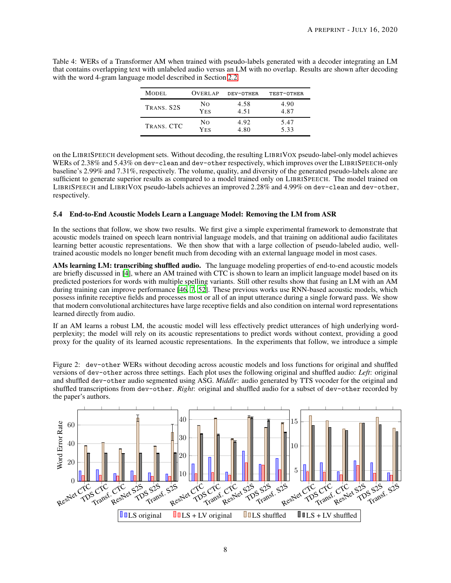<span id="page-7-0"></span>Table 4: WERs of a Transformer AM when trained with pseudo-labels generated with a decoder integrating an LM that contains overlapping text with unlabeled audio versus an LM with no overlap. Results are shown after decoding with the word 4-gram language model described in Section [2.2.](#page-2-1)

| <b>MODEL</b> | <b>OVERLAP</b> | DEV-OTHER | TEST-OTHER |
|--------------|----------------|-----------|------------|
| TRANS, S2S   | Nο             | 4.58      | 4.90       |
|              | <b>YES</b>     | 4.51      | 4.87       |
| TRANS, CTC   | Nο             | 4.92      | 5.47       |
|              | <b>YES</b>     | 4.80      | 5.33       |

on the LIBRISPEECH development sets. Without decoding, the resulting LIBRIVOX pseudo-label-only model achieves WERs of 2.38% and 5.43% on dev-clean and dev-other respectively, which improves over the LIBRISPEECH-only baseline's 2.99% and 7.31%, respectively. The volume, quality, and diversity of the generated pseudo-labels alone are sufficient to generate superior results as compared to a model trained only on LIBRISPEECH. The model trained on LIBRISPEECH and LIBRIVOX pseudo-labels achieves an improved 2.28% and 4.99% on dev-clean and dev-other, respectively.

# <span id="page-7-2"></span>5.4 End-to-End Acoustic Models Learn a Language Model: Removing the LM from ASR

In the sections that follow, we show two results. We first give a simple experimental framework to demonstrate that acoustic models trained on speech learn nontrivial language models, and that training on additional audio facilitates learning better acoustic representations. We then show that with a large collection of pseudo-labeled audio, welltrained acoustic models no longer benefit much from decoding with an external language model in most cases.

AMs learning LM: transcribing shuffled audio. The language modeling properties of end-to-end acoustic models are briefly discussed in [\[4](#page-9-7)], where an AM trained with CTC is shown to learn an implicit language model based on its predicted posteriors for words with multiple spelling variants. Still other results show that fusing an LM with an AM during training can improve performance [\[46,](#page-11-14) [7](#page-9-8), [52](#page-11-15)]. These previous works use RNN-based acoustic models, which possess infinite receptive fields and processes most or all of an input utterance during a single forward pass. We show that modern convolutional architectures have large receptive fields and also condition on internal word representations learned directly from audio.

If an AM learns a robust LM, the acoustic model will less effectively predict utterances of high underlying wordperplexity; the model will rely on its acoustic representations to predict words without context, providing a good proxy for the quality of its learned acoustic representations. In the experiments that follow, we introduce a simple

<span id="page-7-1"></span>Figure 2: dev-other WERs without decoding across acoustic models and loss functions for original and shuffled versions of dev-other across three settings. Each plot uses the following original and shuffled audio: *Left*: original and shuffled dev-other audio segmented using ASG. *Middle*: audio generated by TTS vocoder for the original and shuffled transcriptions from dev-other. *Right*: original and shuffled audio for a subset of dev-other recorded by the paper's authors.

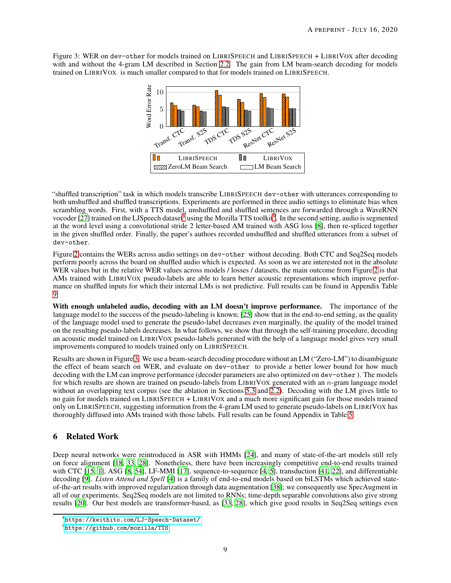<span id="page-8-2"></span>Figure 3: WER on dev-other for models trained on LIBRISPEECH and LIBRISPEECH + LIBRIVOX after decoding with and without the 4-gram LM described in Section [2.2.](#page-2-1) The gain from LM beam-search decoding for models trained on LIBRIVOX is much smaller compared to that for models trained on LIBRISPEECH.



"shuffled transcription" task in which models transcribe LIBRISPEECH dev-other with utterances corresponding to both unshuffled and shuffled transcriptions. Experiments are performed in three audio settings to eliminate bias when scrambling words. First, with a TTS model, unshuffled and shuffled sentences are forwarded through a WaveRNN vocoder [\[27\]](#page-10-16) trained on the LJSpeech dataset<sup>[8](#page-8-0)</sup> using the Mozilla TTS toolkit<sup>[9](#page-8-1)</sup>. In the second setting, audio is segmented at the word level using a convolutional stride 2 letter-based AM trained with ASG loss [\[8\]](#page-9-5), then re-spliced together in the given shuffled order. Finally, the paper's authors recorded unshuffled and shuffled utterances from a subset of dev-other.

Figure [2](#page-7-1) contains the WERs across audio settings on dev-other without decoding. Both CTC and Seq2Seq models perform poorly across the board on shuffled audio which is expected. As soon as we are interested not in the absolute WER values but in the relative WER values across models / losses / datasets, the main outcome from Figure [2](#page-7-1) is that AMs trained with LIBRIVOX pseudo-labels are able to learn better acoustic representations which improve performance on shuffled inputs for which their internal LMs is not predictive. Full results can be found in Appendix Table [9.](#page-15-0)

With enough unlabeled audio, decoding with an LM doesn't improve performance. The importance of the language model to the success of the pseudo-labeling is known; [\[25\]](#page-10-2) show that in the end-to-end setting, as the quality of the language model used to generate the pseudo-label decreases even marginally, the quality of the model trained on the resulting pseudo-labels decreases. In what follows, we show that through the self-training procedure, decoding an acoustic model trained on LIBRIVOX pseudo-labels generated with the help of a language model gives very small improvements compared to models trained only on LIBRISPEECH.

Results are shown in Figure [3.](#page-8-2) We use a beam-search decoding procedure without an LM ("Zero-LM") to disambiguate the effect of beam search on WER, and evaluate on dev-other to provide a better lower bound for how much decoding with the LM can improve performance (decoder parameters are also optimized on dev-other ). The models for which results are shown are trained on pseudo-labels from LIBRIVOX generated with an n-gram language model without an overlapping text corpus (see the ablation in Sections [5.3](#page-6-2) and [2.2\)](#page-2-1). Decoding with the LM gives little to no gain for models trained on LIBRISPEECH + LIBRIVOX and a much more significant gain for those models trained only on LIBRISPEECH, suggesting information from the 4-gram LM used to generate pseudo-labels on LIBRIVOX has thoroughly diffused into AMs trained with those labels. Full results can be found Appendix in Table [5.](#page-12-0)

# 6 Related Work

Deep neural networks were reintroduced in ASR with HMMs [\[24\]](#page-10-17), and many of state-of-the-art models still rely on force alignment [\[18](#page-10-18), [33](#page-10-12), [28](#page-10-14)]. Nonetheless, there have been increasingly competitive end-to-end results trained with CTC [\[15,](#page-10-19) [1](#page-9-9)], ASG [\[8,](#page-9-5) [54\]](#page-11-10), LF-MMI [\[17\]](#page-10-20), sequence-to-sequence [\[4,](#page-9-7) [5](#page-9-10)], transduction [\[41,](#page-11-2) [22\]](#page-10-21), and differentiable decoding [\[9\]](#page-9-11). *Listen Attend and Spell* [\[4\]](#page-9-7) is a family of end-to-end models based on biLSTMs which achieved stateof-the-art results with improved regularization through data augmentation [\[38\]](#page-11-12); we consequently use SpecAugment in all of our experiments. Seq2Seq models are not limited to RNNs; time-depth separable convolutions also give strong results [\[20\]](#page-10-6). Our best models are transformer-based, as [\[33](#page-10-12), [28\]](#page-10-14), which give good results in Seq2Seq settings even

<sup>8</sup> <https://keithito.com/LJ-Speech-Dataset/>

<span id="page-8-1"></span><span id="page-8-0"></span><sup>&</sup>lt;sup>9</sup><https://github.com/mozilla/TTS>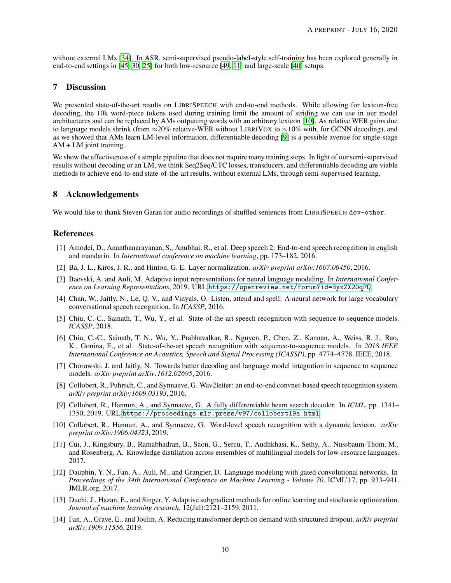without external LMs [\[34\]](#page-10-13). In ASR, semi-supervised pseudo-label-style self-training has been explored generally in end-to-end settings in [\[45](#page-11-16), [30,](#page-10-22) [25\]](#page-10-2) for both low-resource [\[49,](#page-11-1) [11\]](#page-9-12) and large-scale [\[40\]](#page-11-17) setups.

# 7 Discussion

We presented state-of-the-art results on LIBRISPEECH with end-to-end methods. While allowing for lexicon-free decoding, the 10k word-piece tokens used during training limit the amount of striding we can use in our model architectures and can be replaced by AMs outputting words with an arbitrary lexicon [\[10\]](#page-9-13). As relative WER gains due to language models shrink (from  $\approx$ 20% relative-WER without LIBRIVOX to  $\approx$ 10% with, for GCNN decoding), and as we showed that AMs learn LM-level information, differentiable decoding [\[9\]](#page-9-11) is a possible avenue for single-stage AM + LM joint training.

We show the effectiveness of a simple pipeline that does not require many training steps. In light of our semi-supervised results without decoding or an LM, we think Seq2Seq/CTC losses, transducers, and differentiable decoding are viable methods to achieve end-to-end state-of-the-art results, without external LMs, through semi-supervised learning.

### 8 Acknowledgements

We would like to thank Steven Garan for audio recordings of shuffled sentences from LIBRISPEECH dev-other.

### References

- <span id="page-9-9"></span>[1] Amodei, D., Ananthanarayanan, S., Anubhai, R., et al. Deep speech 2: End-to-end speech recognition in english and mandarin. In *International conference on machine learning*, pp. 173–182, 2016.
- <span id="page-9-1"></span>[2] Ba, J. L., Kiros, J. R., and Hinton, G. E. Layer normalization. *arXiv preprint arXiv:1607.06450*, 2016.
- <span id="page-9-4"></span>[3] Baevski, A. and Auli, M. Adaptive input representations for neural language modeling. In *International Conference on Learning Representations*, 2019. URL <https://openreview.net/forum?id=ByxZX20qFQ>.
- <span id="page-9-7"></span>[4] Chan, W., Jaitly, N., Le, Q. V., and Vinyals, O. Listen, attend and spell: A neural network for large vocabulary conversational speech recognition. In *ICASSP*, 2016.
- <span id="page-9-10"></span>[5] Chiu, C.-C., Sainath, T., Wu, Y., et al. State-of-the-art speech recognition with sequence-to-sequence models. *ICASSP*, 2018.
- <span id="page-9-0"></span>[6] Chiu, C.-C., Sainath, T. N., Wu, Y., Prabhavalkar, R., Nguyen, P., Chen, Z., Kannan, A., Weiss, R. J., Rao, K., Gonina, E., et al. State-of-the-art speech recognition with sequence-to-sequence models. In *2018 IEEE International Conference on Acoustics, Speech and Signal Processing (ICASSP)*, pp. 4774–4778. IEEE, 2018.
- <span id="page-9-8"></span>[7] Chorowski, J. and Jaitly, N. Towards better decoding and language model integration in sequence to sequence models. *arXiv preprint arXiv:1612.02695*, 2016.
- <span id="page-9-5"></span>[8] Collobert, R., Puhrsch, C., and Synnaeve, G. Wav2letter: an end-to-end convnet-based speech recognition system. *arXiv preprint arXiv:1609.03193*, 2016.
- <span id="page-9-11"></span>[9] Collobert, R., Hannun, A., and Synnaeve, G. A fully differentiable beam search decoder. In *ICML*, pp. 1341– 1350, 2019. URL <https://proceedings.mlr.press/v97/collobert19a.html>.
- <span id="page-9-13"></span>[10] Collobert, R., Hannun, A., and Synnaeve, G. Word-level speech recognition with a dynamic lexicon. *arXiv preprint arXiv:1906.04323*, 2019.
- <span id="page-9-12"></span>[11] Cui, J., Kingsbury, B., Ramabhadran, B., Saon, G., Sercu, T., Audhkhasi, K., Sethy, A., Nussbaum-Thom, M., and Rosenberg, A. Knowledge distillation across ensembles of multilingual models for low-resource languages. 2017.
- <span id="page-9-2"></span>[12] Dauphin, Y. N., Fan, A., Auli, M., and Grangier, D. Language modeling with gated convolutional networks. In *Proceedings of the 34th International Conference on Machine Learning - Volume 70*, ICML'17, pp. 933–941. JMLR.org, 2017.
- <span id="page-9-6"></span>[13] Duchi, J., Hazan, E., and Singer, Y. Adaptive subgradient methods for online learning and stochastic optimization. *Journal of machine learning research*, 12(Jul):2121–2159, 2011.
- <span id="page-9-3"></span>[14] Fan, A., Grave, E., and Joulin, A. Reducing transformer depth on demand with structured dropout. *arXiv preprint arXiv:1909.11556*, 2019.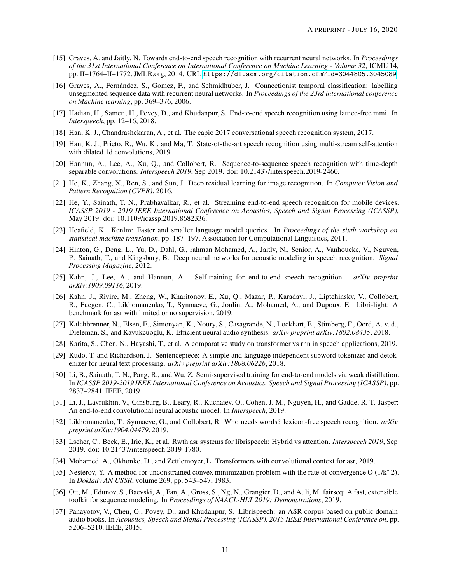- <span id="page-10-19"></span>[15] Graves, A. and Jaitly, N. Towards end-to-end speech recognition with recurrent neural networks. In *Proceedings of the 31st International Conference on International Conference on Machine Learning - Volume 32*, ICML'14, pp. II–1764–II–1772. JMLR.org, 2014. URL <https://dl.acm.org/citation.cfm?id=3044805.3045089>.
- <span id="page-10-1"></span>[16] Graves, A., Fernández, S., Gomez, F., and Schmidhuber, J. Connectionist temporal classification: labelling unsegmented sequence data with recurrent neural networks. In *Proceedings of the 23rd international conference on Machine learning*, pp. 369–376, 2006.
- <span id="page-10-20"></span>[17] Hadian, H., Sameti, H., Povey, D., and Khudanpur, S. End-to-end speech recognition using lattice-free mmi. In *Interspeech*, pp. 12–16, 2018.
- <span id="page-10-18"></span>[18] Han, K. J., Chandrashekaran, A., et al. The capio 2017 conversational speech recognition system, 2017.
- <span id="page-10-15"></span>[19] Han, K. J., Prieto, R., Wu, K., and Ma, T. State-of-the-art speech recognition using multi-stream self-attention with dilated 1d convolutions, 2019.
- <span id="page-10-6"></span>[20] Hannun, A., Lee, A., Xu, Q., and Collobert, R. Sequence-to-sequence speech recognition with time-depth separable convolutions. *Interspeech 2019*, Sep 2019. doi: 10.21437/interspeech.2019-2460.
- <span id="page-10-4"></span>[21] He, K., Zhang, X., Ren, S., and Sun, J. Deep residual learning for image recognition. In *Computer Vision and Pattern Recognition (CVPR)*, 2016.
- <span id="page-10-21"></span>[22] He, Y., Sainath, T. N., Prabhavalkar, R., et al. Streaming end-to-end speech recognition for mobile devices. *ICASSP 2019 - 2019 IEEE International Conference on Acoustics, Speech and Signal Processing (ICASSP)*, May 2019. doi: 10.1109/icassp.2019.8682336.
- <span id="page-10-8"></span>[23] Heafield, K. Kenlm: Faster and smaller language model queries. In *Proceedings of the sixth workshop on statistical machine translation*, pp. 187–197. Association for Computational Linguistics, 2011.
- <span id="page-10-17"></span>[24] Hinton, G., Deng, L., Yu, D., Dahl, G., rahman Mohamed, A., Jaitly, N., Senior, A., Vanhoucke, V., Nguyen, P., Sainath, T., and Kingsbury, B. Deep neural networks for acoustic modeling in speech recognition. *Signal Processing Magazine*, 2012.
- <span id="page-10-2"></span>[25] Kahn, J., Lee, A., and Hannun, A. Self-training for end-to-end speech recognition. *arXiv preprint arXiv:1909.09116*, 2019.
- <span id="page-10-7"></span>[26] Kahn, J., Rivire, M., Zheng, W., Kharitonov, E., Xu, Q., Mazar, P., Karadayi, J., Liptchinsky, V., Collobert, R., Fuegen, C., Likhomanenko, T., Synnaeve, G., Joulin, A., Mohamed, A., and Dupoux, E. Libri-light: A benchmark for asr with limited or no supervision, 2019.
- <span id="page-10-16"></span>[27] Kalchbrenner, N., Elsen, E., Simonyan, K., Noury, S., Casagrande, N., Lockhart, E., Stimberg, F., Oord, A. v. d., Dieleman, S., and Kavukcuoglu, K. Efficient neural audio synthesis. *arXiv preprint arXiv:1802.08435*, 2018.
- <span id="page-10-14"></span>[28] Karita, S., Chen, N., Hayashi, T., et al. A comparative study on transformer vs rnn in speech applications, 2019.
- <span id="page-10-3"></span>[29] Kudo, T. and Richardson, J. Sentencepiece: A simple and language independent subword tokenizer and detokenizer for neural text processing. *arXiv preprint arXiv:1808.06226*, 2018.
- <span id="page-10-22"></span>[30] Li, B., Sainath, T. N., Pang, R., and Wu, Z. Semi-supervised training for end-to-end models via weak distillation. In *ICASSP 2019-2019 IEEE International Conference on Acoustics, Speech and Signal Processing (ICASSP)*, pp. 2837–2841. IEEE, 2019.
- <span id="page-10-5"></span>[31] Li, J., Lavrukhin, V., Ginsburg, B., Leary, R., Kuchaiev, O., Cohen, J. M., Nguyen, H., and Gadde, R. T. Jasper: An end-to-end convolutional neural acoustic model. In *Interspeech*, 2019.
- <span id="page-10-9"></span>[32] Likhomanenko, T., Synnaeve, G., and Collobert, R. Who needs words? lexicon-free speech recognition. *arXiv preprint arXiv:1904.04479*, 2019.
- <span id="page-10-12"></span>[33] Lscher, C., Beck, E., Irie, K., et al. Rwth asr systems for librispeech: Hybrid vs attention. *Interspeech 2019*, Sep 2019. doi: 10.21437/interspeech.2019-1780.
- <span id="page-10-13"></span>[34] Mohamed, A., Okhonko, D., and Zettlemoyer, L. Transformers with convolutional context for asr, 2019.
- <span id="page-10-11"></span>[35] Nesterov, Y. A method for unconstrained convex minimization problem with the rate of convergence O (1/k<sup> $\hat{ }$ </sup> 2). In *Doklady AN USSR*, volume 269, pp. 543–547, 1983.
- <span id="page-10-10"></span>[36] Ott, M., Edunov, S., Baevski, A., Fan, A., Gross, S., Ng, N., Grangier, D., and Auli, M. fairseq: A fast, extensible toolkit for sequence modeling. In *Proceedings of NAACL-HLT 2019: Demonstrations*, 2019.
- <span id="page-10-0"></span>[37] Panayotov, V., Chen, G., Povey, D., and Khudanpur, S. Librispeech: an ASR corpus based on public domain audio books. In *Acoustics, Speech and Signal Processing (ICASSP), 2015 IEEE International Conference on*, pp. 5206–5210. IEEE, 2015.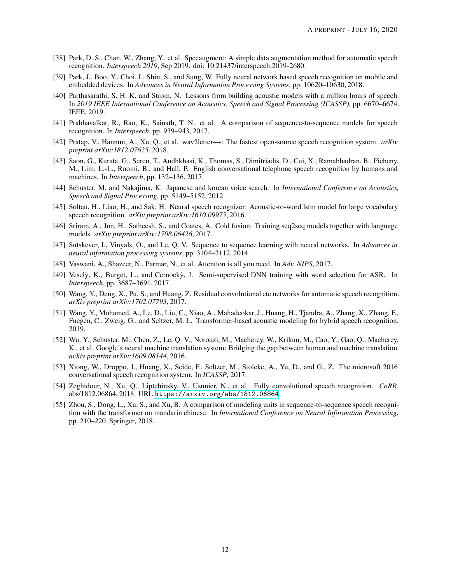- <span id="page-11-12"></span>[38] Park, D. S., Chan, W., Zhang, Y., et al. Specaugment: A simple data augmentation method for automatic speech recognition. *Interspeech 2019*, Sep 2019. doi: 10.21437/interspeech.2019-2680.
- <span id="page-11-11"></span>[39] Park, J., Boo, Y., Choi, I., Shin, S., and Sung, W. Fully neural network based speech recognition on mobile and embedded devices. In *Advances in Neural Information Processing Systems*, pp. 10620–10630, 2018.
- <span id="page-11-17"></span>[40] Parthasarathi, S. H. K. and Strom, N. Lessons from building acoustic models with a million hours of speech. In *2019 IEEE International Conference on Acoustics, Speech and Signal Processing (ICASSP)*, pp. 6670–6674. IEEE, 2019.
- <span id="page-11-2"></span>[41] Prabhavalkar, R., Rao, K., Sainath, T. N., et al. A comparison of sequence-to-sequence models for speech recognition. In *Interspeech*, pp. 939–943, 2017.
- <span id="page-11-9"></span>[42] Pratap, V., Hannun, A., Xu, Q., et al. wav2letter++: The fastest open-source speech recognition system. *arXiv preprint arXiv:1812.07625*, 2018.
- <span id="page-11-6"></span>[43] Saon, G., Kurata, G., Sercu, T., Audhkhasi, K., Thomas, S., Dimitriadis, D., Cui, X., Ramabhadran, B., Picheny, M., Lim, L.-L., Roomi, B., and Hall, P. English conversational telephone speech recognition by humans and machines. In *Interspeech*, pp. 132–136, 2017.
- <span id="page-11-4"></span>[44] Schuster, M. and Nakajima, K. Japanese and korean voice search. In *International Conference on Acoustics, Speech and Signal Processing*, pp. 5149–5152, 2012.
- <span id="page-11-16"></span>[45] Soltau, H., Liao, H., and Sak, H. Neural speech recognizer: Acoustic-to-word lstm model for large vocabulary speech recognition. *arXiv preprint arXiv:1610.09975*, 2016.
- <span id="page-11-14"></span>[46] Sriram, A., Jun, H., Satheesh, S., and Coates, A. Cold fusion: Training seq2seq models together with language models. *arXiv preprint arXiv:1708.06426*, 2017.
- <span id="page-11-0"></span>[47] Sutskever, I., Vinyals, O., and Le, Q. V. Sequence to sequence learning with neural networks. In *Advances in neural information processing systems*, pp. 3104–3112, 2014.
- <span id="page-11-8"></span>[48] Vaswani, A., Shazeer, N., Parmar, N., et al. Attention is all you need. In *Adv. NIPS*, 2017.
- <span id="page-11-1"></span>[49] Veselỳ, K., Burget, L., and Cernockỳ, J. Semi-supervised DNN training with word selection for ASR. In *Interspeech*, pp. 3687–3691, 2017.
- <span id="page-11-7"></span>[50] Wang, Y., Deng, X., Pu, S., and Huang, Z. Residual convolutional ctc networks for automatic speech recognition. *arXiv preprint arXiv:1702.07793*, 2017.
- <span id="page-11-13"></span>[51] Wang, Y., Mohamed, A., Le, D., Liu, C., Xiao, A., Mahadeokar, J., Huang, H., Tjandra, A., Zhang, X., Zhang, F., Fuegen, C., Zweig, G., and Seltzer, M. L. Transformer-based acoustic modeling for hybrid speech recognition, 2019.
- <span id="page-11-15"></span>[52] Wu, Y., Schuster, M., Chen, Z., Le, Q. V., Norouzi, M., Macherey, W., Krikun, M., Cao, Y., Gao, Q., Macherey, K., et al. Google's neural machine translation system: Bridging the gap between human and machine translation. *arXiv preprint arXiv:1609.08144*, 2016.
- <span id="page-11-5"></span>[53] Xiong, W., Droppo, J., Huang, X., Seide, F., Seltzer, M., Stolcke, A., Yu, D., and G., Z. The microsoft 2016 conversational speech recognition system. In *ICASSP*, 2017.
- <span id="page-11-10"></span>[54] Zeghidour, N., Xu, Q., Liptchinsky, V., Usunier, N., et al. Fully convolutional speech recognition. *CoRR*, abs/1812.06864, 2018. URL <https://arxiv.org/abs/1812.06864>.
- <span id="page-11-3"></span>[55] Zhou, S., Dong, L., Xu, S., and Xu, B. A comparison of modeling units in sequence-to-sequence speech recognition with the transformer on mandarin chinese. In *International Conference on Neural Information Processing*, pp. 210–220. Springer, 2018.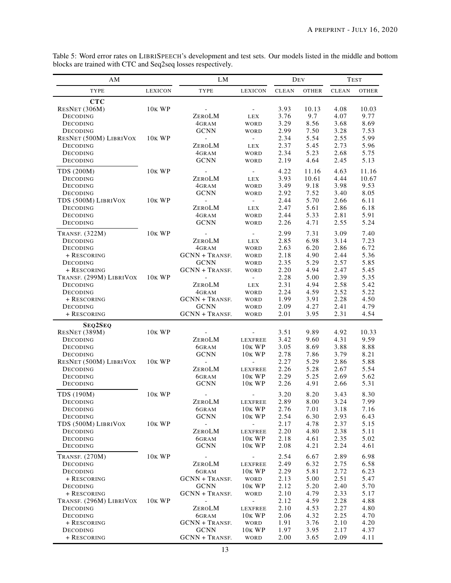<span id="page-12-0"></span>

| Table 5: Word error rates on LIBRISPEECH's development and test sets. Our models listed in the middle and bottom |  |  |  |  |
|------------------------------------------------------------------------------------------------------------------|--|--|--|--|
| blocks are trained with CTC and Seq2seq losses respectively.                                                     |  |  |  |  |

| AM                       |                    | LM                             |                          |              | DEV          |              | <b>TEST</b>  |
|--------------------------|--------------------|--------------------------------|--------------------------|--------------|--------------|--------------|--------------|
| TYPE                     | <b>LEXICON</b>     | TYPE                           | <b>LEXICON</b>           | <b>CLEAN</b> | <b>OTHER</b> | <b>CLEAN</b> | <b>OTHER</b> |
| <b>CTC</b>               |                    |                                |                          |              |              |              |              |
| RESNET (306M)            | 10 <sub>K</sub> WP |                                | $ \,$                    | 3.93         | 10.13        | 4.08         | 10.03        |
| DECODING                 |                    | ZEROLM                         | LEX                      | 3.76         | 9.7          | 4.07         | 9.77         |
| DECODING                 |                    | 4GRAM                          | WORD                     | 3.29         | 8.56         | 3.68         | 8.69         |
| DECODING                 |                    | <b>GCNN</b>                    | WORD                     | 2.99         | 7.50         | 3.28         | 7.53         |
| RESNET (500M) LIBRIVOX   | <b>10K WP</b>      | $\blacksquare$                 | $\overline{\phantom{a}}$ | 2.34         | 5.54         | 2.55         | 5.99         |
| DECODING                 |                    | ZEROLM                         | LEX                      | 2.37         | 5.45         | 2.73         | 5.96         |
| DECODING                 |                    | 4GRAM                          | <b>WORD</b>              | 2.34         | 5.23         | 2.68         | 5.75         |
| DECODING                 |                    | <b>GCNN</b>                    | WORD                     | 2.19         | 4.64         | 2.45         | 5.13         |
| TDS (200M)               | 10 <sub>K</sub> WP | $\overline{\phantom{a}}$       | $\sim 100$               | 4.22         | 11.16        | 4.63         | 11.16        |
| DECODING                 |                    | ZEROLM                         | LEX                      | 3.93         | 10.61        | 4.44         | 10.67        |
| DECODING                 |                    | 4GRAM                          | WORD                     | 3.49         | 9.18         | 3.98         | 9.53         |
| DECODING                 |                    | <b>GCNN</b>                    | WORD                     | 2.92         | 7.52         | 3.40         | 8.05         |
| TDS (500M) LIBRIVOX      | 10 <sub>K</sub> WP | $\mathcal{L}$                  | $\overline{\phantom{a}}$ | 2.44         | 5.70         | 2.66         | 6.11         |
| DECODING                 |                    | ZEROLM                         | LEX                      | 2.47         | 5.61         | 2.86         | 6.18         |
| DECODING                 |                    | 4GRAM                          | WORD                     | 2.44         | 5.33         | 2.81         | 5.91         |
| DECODING                 |                    | <b>GCNN</b>                    | WORD                     | 2.26         | 4.71         | 2.55         | 5.24         |
| <b>TRANSF.</b> (322M)    | <b>10K WP</b>      | $\equiv$                       | $\omega_{\rm{max}}$      | 2.99         | 7.31         | 3.09         | 7.40         |
| DECODING                 |                    | ZEROLM                         | LEX                      | 2.85         | 6.98         | 3.14         | 7.23         |
| DECODING                 |                    | 4GRAM                          | WORD                     | 2.63         | 6.20         | 2.86         | 6.72         |
| + RESCORING              |                    | <b>GCNN + TRANSF.</b>          | WORD                     | 2.18         | 4.90         | 2.44         | 5.36         |
| DECODING                 |                    | <b>GCNN</b>                    | WORD                     | 2.35         | 5.29         | 2.57         | 5.85         |
| + RESCORING              |                    | <b>GCNN + TRANSF.</b>          | WORD                     | 2.20         | 4.94         | 2.47         | 5.45         |
| TRANSF. (299M) LIBRIVOX  | <b>10K WP</b>      | $\equiv$                       | $\sim$                   | 2.28         | 5.00         | 2.39         | 5.35         |
| DECODING                 |                    | ZEROLM                         | LEX                      | 2.31<br>2.24 | 4.94         | 2.58         | 5.42<br>5.22 |
| DECODING<br>+ RESCORING  |                    | 4GRAM<br><b>GCNN + TRANSF.</b> | WORD                     | 1.99         | 4.59<br>3.91 | 2.52<br>2.28 | 4.50         |
| DECODING                 |                    | <b>GCNN</b>                    | WORD<br>WORD             | 2.09         | 4.27         | 2.41         | 4.79         |
| + RESCORING              |                    | <b>GCNN + TRANSF.</b>          | WORD                     | 2.01         | 3.95         | 2.31         | 4.54         |
|                          |                    |                                |                          |              |              |              |              |
| SEQ2SEQ<br>RESNET (389M) | <b>10K WP</b>      | $\overline{\phantom{a}}$       | $\overline{\phantom{a}}$ | 3.51         | 9.89         | 4.92         | 10.33        |
| DECODING                 |                    | ZEROLM                         | LEXFREE                  | 3.42         | 9.60         | 4.31         | 9.59         |
| DECODING                 |                    | 6GRAM                          | 10 <sub>K</sub> WP       | 3.05         | 8.69         | 3.88         | 8.88         |
| DECODING                 |                    | <b>GCNN</b>                    | 10 <sub>K</sub> WP       | 2.78         | 7.86         | 3.79         | 8.21         |
| RESNET (500M) LIBRIVOX   | 10 <sub>K</sub> WP | $\overline{\phantom{a}}$       |                          | 2.27         | 5.29         | 2.86         | 5.88         |
| DECODING                 |                    | ZEROLM                         | LEXFREE                  | 2.26         | 5.28         | 2.67         | 5.54         |
| DECODING                 |                    | 6GRAM                          | 10 <sub>K</sub> WP       | 2.29         | 5.25         | 2.69         | 5.62         |
| DECODING                 |                    | <b>GCNN</b>                    | 10KWP                    | 2.26         | 4.91         | 2.66         | 5.31         |
| TDS (190M)               | <b>10K WP</b>      |                                |                          | 3.20         | 8.20         | 3.43         | 8.30         |
| DECODING                 |                    | ZEROLM                         | <b>LEXFREE</b>           | 2.89         | 8.00         | 3.24         | 7.99         |
| DECODING                 |                    | 6GRAM                          | <b>10K WP</b>            | 2.76         | 7.01         | 3.18         | 7.16         |
| DECODING                 |                    | <b>GCNN</b>                    | <b>10K WP</b>            | 2.54         | 6.30         | 2.93         | 6.43         |
| TDS (500M) LIBRIVOX      | <b>10K WP</b>      | $\overline{\phantom{a}}$       | -                        | 2.17         | 4.78         | 2.37         | 5.15         |
| DECODING                 |                    | ZEROLM                         | LEXFREE                  | 2.20         | 4.80         | 2.38         | 5.11         |
| DECODING                 |                    | 6GRAM                          | 10 <sub>K</sub> WP       | 2.18         | 4.61         | 2.35         | 5.02         |
| DECODING                 |                    | <b>GCNN</b>                    | 10 <sub>K</sub> WP       | 2.08         | 4.21         | 2.24         | 4.61         |
| <b>TRANSF.</b> (270M)    | <b>10K WP</b>      |                                |                          | 2.54         | 6.67         | 2.89         | 6.98         |
| DECODING                 |                    | ZEROLM                         | LEXFREE                  | 2.49         | 6.32         | 2.75         | 6.58         |
| DECODING                 |                    | 6GRAM                          | <b>10K WP</b>            | 2.29         | 5.81         | 2.72         | 6.23         |
| + RESCORING              |                    | <b>GCNN + TRANSF.</b>          | <b>WORD</b>              | 2.13         | 5.00         | 2.51         | 5.47         |
| DECODING                 |                    | <b>GCNN</b>                    | 10 <sub>K</sub> WP       | 2.12         | 5.20         | 2.40         | 5.70         |
| + RESCORING              |                    | <b>GCNN + TRANSF.</b>          | WORD                     | 2.10         | 4.79         | 2.33         | 5.17         |
| TRANSF. (296M) LIBRIVOX  | <b>10K WP</b>      |                                | $\overline{a}$           | 2.12         | 4.59         | 2.28         | 4.88         |
| DECODING                 |                    | ZEROLM                         | LEXFREE                  | 2.10         | 4.53         | 2.27         | 4.80         |
| DECODING                 |                    | 6GRAM                          | 10 <sub>K</sub> WP       | 2.06         | 4.32         | 2.25         | 4.70         |
| + RESCORING              |                    | <b>GCNN + TRANSF.</b>          | WORD                     | 1.91         | 3.76         | 2.10         | 4.20         |
| DECODING                 |                    | <b>GCNN</b>                    | 10 <sub>K</sub> WP       | 1.97         | 3.95         | 2.17         | 4.37         |
| + RESCORING              |                    | <b>GCNN + TRANSF.</b>          | WORD                     | 2.00         | 3.65         | 2.09         | 4.11         |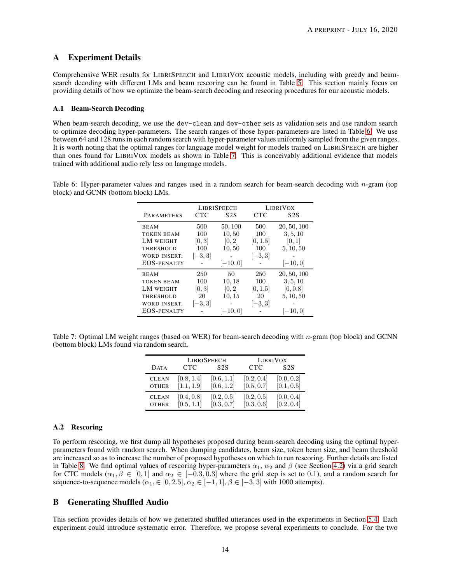# A Experiment Details

Comprehensive WER results for LIBRISPEECH and LIBRIVOX acoustic models, including with greedy and beamsearch decoding with different LMs and beam rescoring can be found in Table [5.](#page-12-0) This section mainly focus on providing details of how we optimize the beam-search decoding and rescoring procedures for our acoustic models.

#### A.1 Beam-Search Decoding

When beam-search decoding, we use the dev-clean and dev-other sets as validation sets and use random search to optimize decoding hyper-parameters. The search ranges of those hyper-parameters are listed in Table [6.](#page-13-0) We use between 64 and 128 runs in each random search with hyper-parameter values uniformly sampled from the given ranges. It is worth noting that the optimal ranges for language model weight for models trained on LIBRISPEECH are higher than ones found for LIBRIVOX models as shown in Table [7.](#page-13-1) This is conceivably additional evidence that models trained with additional audio rely less on language models.

<span id="page-13-0"></span>Table 6: Hyper-parameter values and ranges used in a random search for beam-search decoding with  $n$ -gram (top block) and GCNN (bottom block) LMs.

|                                                                                                         |                                          | <b>LIBRISPEECH</b>                                 |                                            | <b>LIBRIVOX</b>                                                |
|---------------------------------------------------------------------------------------------------------|------------------------------------------|----------------------------------------------------|--------------------------------------------|----------------------------------------------------------------|
| <b>PARAMETERS</b>                                                                                       | <b>CTC</b>                               | S <sub>2</sub> S                                   | CTC                                        | S <sub>2</sub> S                                               |
| <b>BEAM</b><br><b>TOKEN BEAM</b><br>LM WEIGHT<br><b>THRESHOLD</b><br>WORD INSERT.<br><b>EOS-PENALTY</b> | 500<br>100<br>[0, 3]<br>100<br>$[-3, 3]$ | 50, 100<br>10,50<br>[0, 2]<br>10, 50<br>$[-10, 0]$ | 500<br>100<br>[0, 1.5]<br>100<br>$[-3, 3]$ | 20, 50, 100<br>3, 5, 10<br>[0, 1]<br>5, 10, 50<br>$[-10, 0]$   |
| <b>BEAM</b><br><b>TOKEN BEAM</b><br>LM WEIGHT<br><b>THRESHOLD</b><br>WORD INSERT.<br><b>EOS-PENALTY</b> | 250<br>100<br>[0, 3]<br>20<br>$[-3, 3]$  | 50<br>10, 18<br>[0, 2]<br>10, 15<br>$[-10, 0]$     | 250<br>100<br>[0, 1.5]<br>20<br>$[-3, 3]$  | 20, 50, 100<br>3, 5, 10<br>[0, 0.8]<br>5, 10, 50<br>$[-10, 0]$ |

<span id="page-13-1"></span>Table 7: Optimal LM weight ranges (based on WER) for beam-search decoding with n-gram (top block) and GCNN (bottom block) LMs found via random search.

|              |            | <b>LIBRISPEECH</b> |            | <b>LIBRIVOX</b> |
|--------------|------------|--------------------|------------|-----------------|
| <b>DATA</b>  | <b>CTC</b> | S <sub>2</sub> S   | <b>CTC</b> | S2S             |
| <b>CLEAN</b> | [0.8, 1.4] | [0.6, 1.1]         | [0.2, 0.4] | [0.0, 0.2]      |
| <b>OTHER</b> | [1.1, 1.9] | [0.6, 1.2]         | [0.5, 0.7] | [0.1, 0.5]      |
| <b>CLEAN</b> | [0.4, 0.8] | [0.2, 0.5]         | [0.2, 0.5] | [0.0, 0.4]      |
| <b>OTHER</b> | [0.5, 1.1] | [0.3, 0.7]         | [0.3, 0.6] | [0.2, 0.4]      |

### A.2 Rescoring

To perform rescoring, we first dump all hypotheses proposed during beam-search decoding using the optimal hyperparameters found with random search. When dumping candidates, beam size, token beam size, and beam threshold are increased so as to increase the number of proposed hypotheses on which to run rescoring. Further details are listed in Table [8.](#page-14-0) We find optimal values of rescoring hyper-parameters  $\alpha_1$ ,  $\alpha_2$  and  $\beta$  (see Section [4.2\)](#page-4-3) via a grid search for CTC models  $(\alpha_1, \beta \in [0, 1]$  and  $\alpha_2 \in [-0.3, 0.3]$  where the grid step is set to 0.1), and a random search for sequence-to-sequence models ( $\alpha_1$ ,  $\in$  [0, 2.5],  $\alpha_2$   $\in$  [-1, 1],  $\beta$   $\in$  [-3, 3] with 1000 attempts).

# B Generating Shuffled Audio

This section provides details of how we generated shuffled utterances used in the experiments in Section [5.4.](#page-7-2) Each experiment could introduce systematic error. Therefore, we propose several experiments to conclude. For the two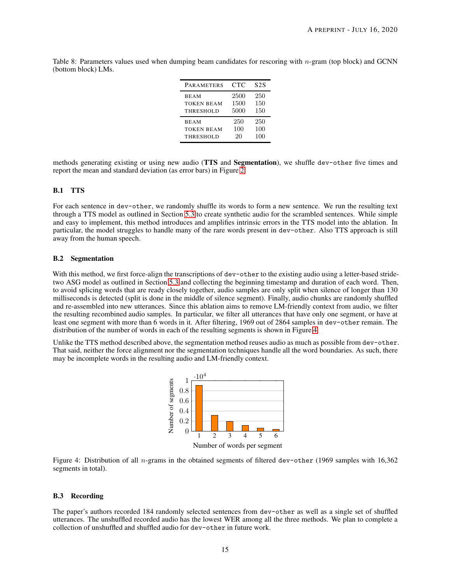<span id="page-14-0"></span>Table 8: Parameters values used when dumping beam candidates for rescoring with n-gram (top block) and GCNN (bottom block) LMs.

| <b>PARAMETERS</b> | <b>CTC</b> | S <sub>2</sub> S |
|-------------------|------------|------------------|
| <b>BEAM</b>       | 2500       | 250              |
| <b>TOKEN BEAM</b> | 1500       | 150              |
| THRESHOLD         | 5000       | 150              |
| <b>BEAM</b>       | 250        | 250              |
| <b>TOKEN BEAM</b> | 100        | 100              |
| THRESHOLD         | 20         | 100              |

methods generating existing or using new audio (TTS and Segmentation), we shuffle dev-other five times and report the mean and standard deviation (as error bars) in Figure [2.](#page-7-1)

### B.1 TTS

For each sentence in dev-other, we randomly shuffle its words to form a new sentence. We run the resulting text through a TTS model as outlined in Section [5.3](#page-6-2) to create synthetic audio for the scrambled sentences. While simple and easy to implement, this method introduces and amplifies intrinsic errors in the TTS model into the ablation. In particular, the model struggles to handle many of the rare words present in dev-other. Also TTS approach is still away from the human speech.

### B.2 Segmentation

With this method, we first force-align the transcriptions of dev-other to the existing audio using a letter-based stridetwo ASG model as outlined in Section [5.3](#page-6-2) and collecting the beginning timestamp and duration of each word. Then, to avoid splicing words that are ready closely together, audio samples are only split when silence of longer than 130 milliseconds is detected (split is done in the middle of silence segment). Finally, audio chunks are randomly shuffled and re-assembled into new utterances. Since this ablation aims to remove LM-friendly context from audio, we filter the resulting recombined audio samples. In particular, we filter all utterances that have only one segment, or have at least one segment with more than 6 words in it. After filtering, 1969 out of 2864 samples in dev-other remain. The distribution of the number of words in each of the resulting segments is shown in Figure [4.](#page-14-1)

<span id="page-14-1"></span>Unlike the TTS method described above, the segmentation method reuses audio as much as possible from dev-other. That said, neither the force alignment nor the segmentation techniques handle all the word boundaries. As such, there may be incomplete words in the resulting audio and LM-friendly context.



Number of words per segment

Figure 4: Distribution of all n-grams in the obtained segments of filtered dev-other (1969 samples with 16,362 segments in total).

### B.3 Recording

The paper's authors recorded 184 randomly selected sentences from dev-other as well as a single set of shuffled utterances. The unshuffled recorded audio has the lowest WER among all the three methods. We plan to complete a collection of unshuffled and shuffled audio for dev-other in future work.